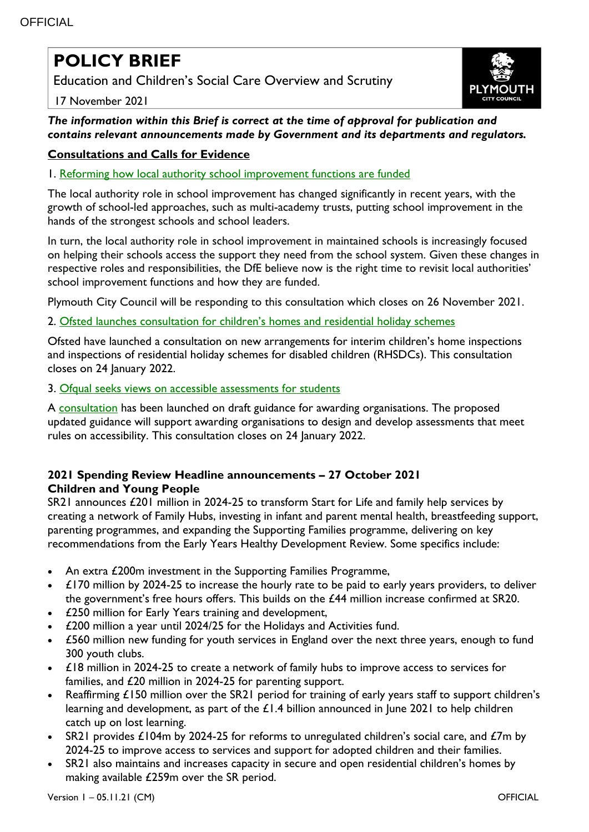# **POLICY BRIEF**

Education and Children's Social Care Overview and Scrutiny





*The information within this Brief is correct at the time of approval for publication and contains relevant announcements made by Government and its departments and regulators.*

## **Consultations and Calls for Evidence**

1. [Reforming how local authority school improvement functions are funded](https://www.gov.uk/government/consultations/reforming-how-local-authority-school-improvement-functions-are-funded)

The local authority role in school improvement has changed significantly in recent years, with the growth of school-led approaches, such as multi-academy trusts, putting school improvement in the hands of the strongest schools and school leaders.

In turn, the local authority role in school improvement in maintained schools is increasingly focused on helping their schools access the support they need from the school system. Given these changes in respective roles and responsibilities, the DfE believe now is the right time to revisit local authorities' school improvement functions and how they are funded.

Plymouth City Council will be responding to this consultation which closes on 26 November 2021.

2. [Ofsted launches consultation for children's homes and residential holiday schemes](https://www.gov.uk/government/news/ofsted-launches-consultation-for-childrens-homes-and-residential-holiday-schemes)

Ofsted have launched a consultation on new arrangements for interim children's home inspections and inspections of residential holiday schemes for disabled children (RHSDCs). This consultation closes on 24 January 2022.

3. [Ofqual seeks views on accessible assessments for students](https://www.gov.uk/government/news/ofqual-seeks-views-on-accessible-assessments-for-students)

A [consultation](https://www.gov.uk/government/consultations/consultation-on-designing-and-developing-accessible-assessments) has been launched on draft guidance for awarding organisations. The proposed updated guidance will support awarding organisations to design and develop assessments that meet rules on accessibility. This consultation closes on 24 January 2022.

## **2021 Spending Review Headline announcements – 27 October 2021 Children and Young People**

SR21 announces £201 million in 2024-25 to transform Start for Life and family help services by creating a network of Family Hubs, investing in infant and parent mental health, breastfeeding support, parenting programmes, and expanding the Supporting Families programme, delivering on key recommendations from the Early Years Healthy Development Review. Some specifics include:

- An extra £200m investment in the Supporting Families Programme,
- £170 million by 2024-25 to increase the hourly rate to be paid to early years providers, to deliver the government's free hours offers. This builds on the £44 million increase confirmed at SR20.
- £250 million for Early Years training and development,
- £200 million a year until 2024/25 for the Holidays and Activities fund.
- £560 million new funding for youth services in England over the next three years, enough to fund 300 youth clubs.
- £18 million in 2024-25 to create a network of family hubs to improve access to services for families, and £20 million in 2024-25 for parenting support.
- Reaffirming £150 million over the SR21 period for training of early years staff to support children's learning and development, as part of the £1.4 billion announced in June 2021 to help children catch up on lost learning.
- SR21 provides £104m by 2024-25 for reforms to unregulated children's social care, and  $\mathcal{L}7m$  by 2024-25 to improve access to services and support for adopted children and their families.
- SR21 also maintains and increases capacity in secure and open residential children's homes by making available £259m over the SR period.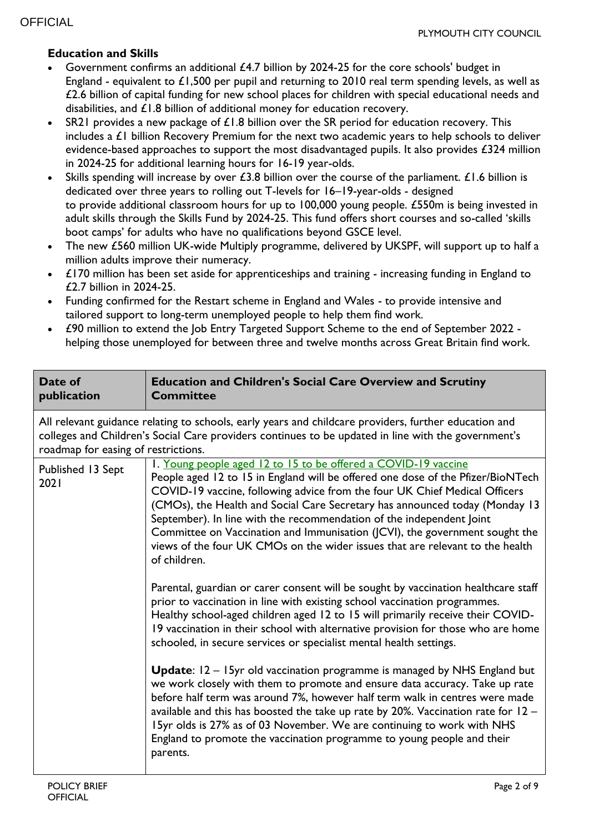## **Education and Skills**

- Government confirms an additional £4.7 billion by 2024-25 for the core schools' budget in England - equivalent to  $£1,500$  per pupil and returning to 2010 real term spending levels, as well as £2.6 billion of capital funding for new school places for children with special educational needs and disabilities, and £1.8 billion of additional money for education recovery.
- SR21 provides a new package of  $£1.8$  billion over the SR period for education recovery. This includes a £1 billion Recovery Premium for the next two academic years to help schools to deliver evidence-based approaches to support the most disadvantaged pupils. It also provides £324 million in 2024-25 for additional learning hours for 16-19 year-olds.
- Skills spending will increase by over £3.8 billion over the course of the parliament. £1.6 billion is dedicated over three years to rolling out T-levels for 16–19-year-olds - designed to provide additional classroom hours for up to 100,000 young people. £550m is being invested in adult skills through the Skills Fund by 2024-25. This fund offers short courses and so-called 'skills boot camps' for adults who have no qualifications beyond GSCE level.
- The new £560 million UK-wide Multiply programme, delivered by UKSPF, will support up to half a million adults improve their numeracy.
- £170 million has been set aside for apprenticeships and training increasing funding in England to £2.7 billion in 2024-25.
- Funding confirmed for the Restart scheme in England and Wales to provide intensive and tailored support to long-term unemployed people to help them find work.
- £90 million to extend the Job Entry Targeted Support Scheme to the end of September 2022 helping those unemployed for between three and twelve months across Great Britain find work.

| Date of<br>publication                                                                                                                                                                                                                              | <b>Education and Children's Social Care Overview and Scrutiny</b><br><b>Committee</b>                                                                                                                                                                                                                                                                                                                                                                                                                                                                                                                                                                                                                                                                                                                                                                                                                                                                                                                                                                                                                                                                                                                                                                                                                                                                                                                                                                                                   |  |
|-----------------------------------------------------------------------------------------------------------------------------------------------------------------------------------------------------------------------------------------------------|-----------------------------------------------------------------------------------------------------------------------------------------------------------------------------------------------------------------------------------------------------------------------------------------------------------------------------------------------------------------------------------------------------------------------------------------------------------------------------------------------------------------------------------------------------------------------------------------------------------------------------------------------------------------------------------------------------------------------------------------------------------------------------------------------------------------------------------------------------------------------------------------------------------------------------------------------------------------------------------------------------------------------------------------------------------------------------------------------------------------------------------------------------------------------------------------------------------------------------------------------------------------------------------------------------------------------------------------------------------------------------------------------------------------------------------------------------------------------------------------|--|
| All relevant guidance relating to schools, early years and childcare providers, further education and<br>colleges and Children's Social Care providers continues to be updated in line with the government's<br>roadmap for easing of restrictions. |                                                                                                                                                                                                                                                                                                                                                                                                                                                                                                                                                                                                                                                                                                                                                                                                                                                                                                                                                                                                                                                                                                                                                                                                                                                                                                                                                                                                                                                                                         |  |
| Published 13 Sept<br>2021                                                                                                                                                                                                                           | I. Young people aged 12 to 15 to be offered a COVID-19 vaccine<br>People aged 12 to 15 in England will be offered one dose of the Pfizer/BioNTech<br>COVID-19 vaccine, following advice from the four UK Chief Medical Officers<br>(CMOs), the Health and Social Care Secretary has announced today (Monday 13<br>September). In line with the recommendation of the independent Joint<br>Committee on Vaccination and Immunisation (JCVI), the government sought the<br>views of the four UK CMOs on the wider issues that are relevant to the health<br>of children.<br>Parental, guardian or carer consent will be sought by vaccination healthcare staff<br>prior to vaccination in line with existing school vaccination programmes.<br>Healthy school-aged children aged 12 to 15 will primarily receive their COVID-<br>19 vaccination in their school with alternative provision for those who are home<br>schooled, in secure services or specialist mental health settings.<br>Update: 12 - 15yr old vaccination programme is managed by NHS England but<br>we work closely with them to promote and ensure data accuracy. Take up rate<br>before half term was around 7%, however half term walk in centres were made<br>available and this has boosted the take up rate by 20%. Vaccination rate for $12 -$<br>15yr olds is 27% as of 03 November. We are continuing to work with NHS<br>England to promote the vaccination programme to young people and their<br>parents. |  |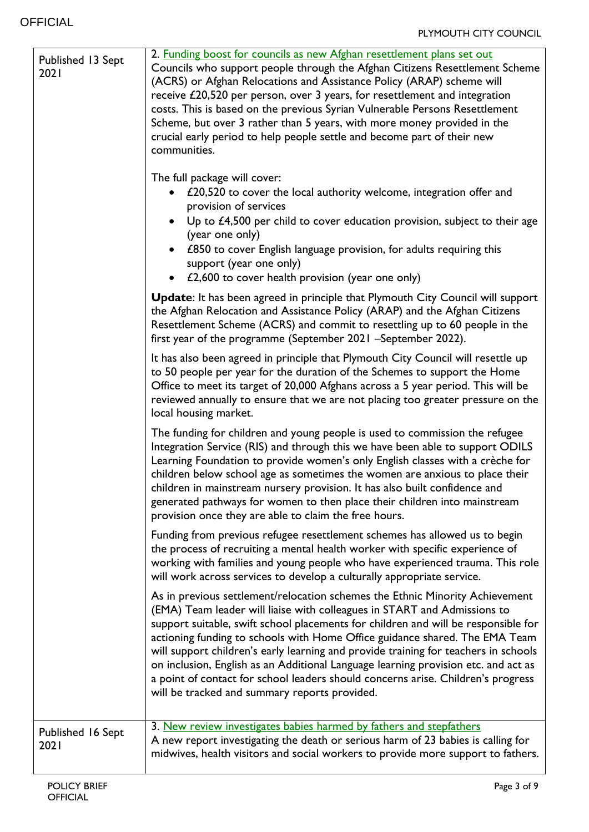| Published 13 Sept<br>2021 | 2. Funding boost for councils as new Afghan resettlement plans set out<br>Councils who support people through the Afghan Citizens Resettlement Scheme<br>(ACRS) or Afghan Relocations and Assistance Policy (ARAP) scheme will<br>receive £20,520 per person, over 3 years, for resettlement and integration<br>costs. This is based on the previous Syrian Vulnerable Persons Resettlement<br>Scheme, but over 3 rather than 5 years, with more money provided in the<br>crucial early period to help people settle and become part of their new<br>communities.<br>The full package will cover:<br>£20,520 to cover the local authority welcome, integration offer and<br>provision of services<br>Up to $£4,500$ per child to cover education provision, subject to their age<br>(year one only)<br>• £850 to cover English language provision, for adults requiring this<br>support (year one only)<br>£2,600 to cover health provision (year one only)<br>$\bullet$ |
|---------------------------|--------------------------------------------------------------------------------------------------------------------------------------------------------------------------------------------------------------------------------------------------------------------------------------------------------------------------------------------------------------------------------------------------------------------------------------------------------------------------------------------------------------------------------------------------------------------------------------------------------------------------------------------------------------------------------------------------------------------------------------------------------------------------------------------------------------------------------------------------------------------------------------------------------------------------------------------------------------------------|
|                           | <b>Update:</b> It has been agreed in principle that Plymouth City Council will support<br>the Afghan Relocation and Assistance Policy (ARAP) and the Afghan Citizens<br>Resettlement Scheme (ACRS) and commit to resettling up to 60 people in the<br>first year of the programme (September 2021 -September 2022).                                                                                                                                                                                                                                                                                                                                                                                                                                                                                                                                                                                                                                                      |
|                           | It has also been agreed in principle that Plymouth City Council will resettle up<br>to 50 people per year for the duration of the Schemes to support the Home<br>Office to meet its target of 20,000 Afghans across a 5 year period. This will be<br>reviewed annually to ensure that we are not placing too greater pressure on the<br>local housing market.                                                                                                                                                                                                                                                                                                                                                                                                                                                                                                                                                                                                            |
|                           | The funding for children and young people is used to commission the refugee<br>Integration Service (RIS) and through this we have been able to support ODILS<br>Learning Foundation to provide women's only English classes with a crèche for<br>children below school age as sometimes the women are anxious to place their<br>children in mainstream nursery provision. It has also built confidence and<br>generated pathways for women to then place their children into mainstream<br>provision once they are able to claim the free hours.                                                                                                                                                                                                                                                                                                                                                                                                                         |
|                           | Funding from previous refugee resettlement schemes has allowed us to begin<br>the process of recruiting a mental health worker with specific experience of<br>working with families and young people who have experienced trauma. This role<br>will work across services to develop a culturally appropriate service.                                                                                                                                                                                                                                                                                                                                                                                                                                                                                                                                                                                                                                                    |
|                           | As in previous settlement/relocation schemes the Ethnic Minority Achievement<br>(EMA) Team leader will liaise with colleagues in START and Admissions to<br>support suitable, swift school placements for children and will be responsible for<br>actioning funding to schools with Home Office guidance shared. The EMA Team<br>will support children's early learning and provide training for teachers in schools<br>on inclusion, English as an Additional Language learning provision etc. and act as<br>a point of contact for school leaders should concerns arise. Children's progress<br>will be tracked and summary reports provided.                                                                                                                                                                                                                                                                                                                          |
| Published 16 Sept<br>2021 | 3. New review investigates babies harmed by fathers and stepfathers<br>A new report investigating the death or serious harm of 23 babies is calling for<br>midwives, health visitors and social workers to provide more support to fathers.                                                                                                                                                                                                                                                                                                                                                                                                                                                                                                                                                                                                                                                                                                                              |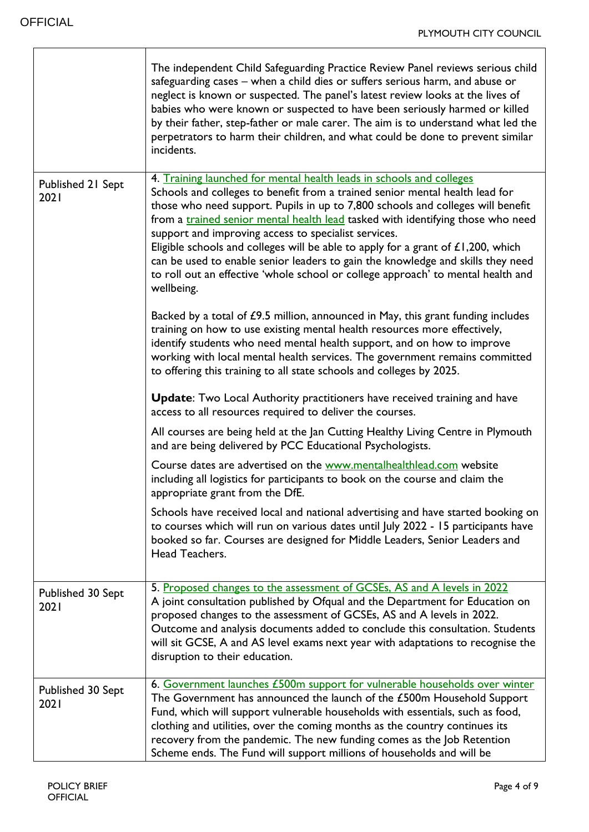|                           | The independent Child Safeguarding Practice Review Panel reviews serious child<br>safeguarding cases - when a child dies or suffers serious harm, and abuse or<br>neglect is known or suspected. The panel's latest review looks at the lives of<br>babies who were known or suspected to have been seriously harmed or killed<br>by their father, step-father or male carer. The aim is to understand what led the<br>perpetrators to harm their children, and what could be done to prevent similar<br>incidents.                                                                                                                                                   |
|---------------------------|-----------------------------------------------------------------------------------------------------------------------------------------------------------------------------------------------------------------------------------------------------------------------------------------------------------------------------------------------------------------------------------------------------------------------------------------------------------------------------------------------------------------------------------------------------------------------------------------------------------------------------------------------------------------------|
| Published 21 Sept<br>2021 | 4. Training launched for mental health leads in schools and colleges<br>Schools and colleges to benefit from a trained senior mental health lead for<br>those who need support. Pupils in up to 7,800 schools and colleges will benefit<br>from a <i>trained senior mental health lead</i> tasked with identifying those who need<br>support and improving access to specialist services.<br>Eligible schools and colleges will be able to apply for a grant of $£1,200$ , which<br>can be used to enable senior leaders to gain the knowledge and skills they need<br>to roll out an effective 'whole school or college approach' to mental health and<br>wellbeing. |
|                           | Backed by a total of £9.5 million, announced in May, this grant funding includes<br>training on how to use existing mental health resources more effectively,<br>identify students who need mental health support, and on how to improve<br>working with local mental health services. The government remains committed<br>to offering this training to all state schools and colleges by 2025.                                                                                                                                                                                                                                                                       |
|                           | <b>Update:</b> Two Local Authority practitioners have received training and have<br>access to all resources required to deliver the courses.                                                                                                                                                                                                                                                                                                                                                                                                                                                                                                                          |
|                           | All courses are being held at the Jan Cutting Healthy Living Centre in Plymouth<br>and are being delivered by PCC Educational Psychologists.                                                                                                                                                                                                                                                                                                                                                                                                                                                                                                                          |
|                           | Course dates are advertised on the www.mentalhealthlead.com website<br>including all logistics for participants to book on the course and claim the<br>appropriate grant from the DfE.                                                                                                                                                                                                                                                                                                                                                                                                                                                                                |
|                           | Schools have received local and national advertising and have started booking on<br>to courses which will run on various dates until July 2022 - 15 participants have<br>booked so far. Courses are designed for Middle Leaders, Senior Leaders and<br>Head Teachers.                                                                                                                                                                                                                                                                                                                                                                                                 |
| Published 30 Sept<br>2021 | 5. Proposed changes to the assessment of GCSEs, AS and A levels in 2022<br>A joint consultation published by Ofqual and the Department for Education on<br>proposed changes to the assessment of GCSEs, AS and A levels in 2022.<br>Outcome and analysis documents added to conclude this consultation. Students<br>will sit GCSE, A and AS level exams next year with adaptations to recognise the<br>disruption to their education.                                                                                                                                                                                                                                 |
| Published 30 Sept<br>2021 | 6. Government launches £500m support for vulnerable households over winter<br>The Government has announced the launch of the £500m Household Support<br>Fund, which will support vulnerable households with essentials, such as food,<br>clothing and utilities, over the coming months as the country continues its<br>recovery from the pandemic. The new funding comes as the Job Retention<br>Scheme ends. The Fund will support millions of households and will be                                                                                                                                                                                               |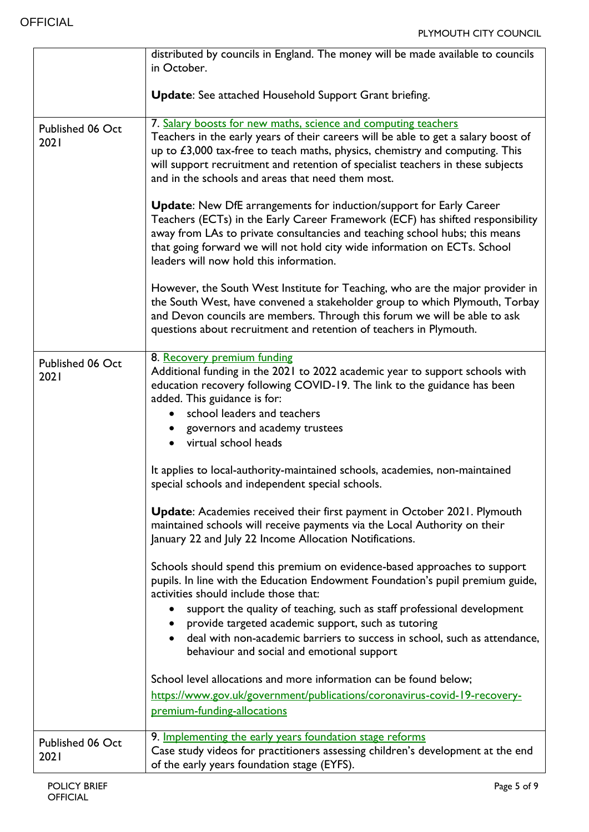|                          | distributed by councils in England. The money will be made available to councils<br>in October.                                                                                                                                                                                                                                                                                                                                                                                             |
|--------------------------|---------------------------------------------------------------------------------------------------------------------------------------------------------------------------------------------------------------------------------------------------------------------------------------------------------------------------------------------------------------------------------------------------------------------------------------------------------------------------------------------|
|                          | Update: See attached Household Support Grant briefing.                                                                                                                                                                                                                                                                                                                                                                                                                                      |
| Published 06 Oct<br>2021 | 7. Salary boosts for new maths, science and computing teachers<br>Teachers in the early years of their careers will be able to get a salary boost of<br>up to $£3,000$ tax-free to teach maths, physics, chemistry and computing. This<br>will support recruitment and retention of specialist teachers in these subjects<br>and in the schools and areas that need them most.                                                                                                              |
|                          | <b>Update:</b> New DfE arrangements for induction/support for Early Career<br>Teachers (ECTs) in the Early Career Framework (ECF) has shifted responsibility<br>away from LAs to private consultancies and teaching school hubs; this means<br>that going forward we will not hold city wide information on ECTs. School<br>leaders will now hold this information.                                                                                                                         |
|                          | However, the South West Institute for Teaching, who are the major provider in<br>the South West, have convened a stakeholder group to which Plymouth, Torbay<br>and Devon councils are members. Through this forum we will be able to ask<br>questions about recruitment and retention of teachers in Plymouth.                                                                                                                                                                             |
| Published 06 Oct<br>2021 | 8. Recovery premium funding<br>Additional funding in the 2021 to 2022 academic year to support schools with<br>education recovery following COVID-19. The link to the guidance has been<br>added. This guidance is for:<br>school leaders and teachers<br>governors and academy trustees<br>• virtual school heads                                                                                                                                                                          |
|                          | It applies to local-authority-maintained schools, academies, non-maintained<br>special schools and independent special schools.                                                                                                                                                                                                                                                                                                                                                             |
|                          | <b>Update:</b> Academies received their first payment in October 2021. Plymouth<br>maintained schools will receive payments via the Local Authority on their<br>January 22 and July 22 Income Allocation Notifications.                                                                                                                                                                                                                                                                     |
|                          | Schools should spend this premium on evidence-based approaches to support<br>pupils. In line with the Education Endowment Foundation's pupil premium guide,<br>activities should include those that:<br>support the quality of teaching, such as staff professional development<br>$\bullet$<br>provide targeted academic support, such as tutoring<br>$\bullet$<br>deal with non-academic barriers to success in school, such as attendance,<br>behaviour and social and emotional support |
|                          | School level allocations and more information can be found below;<br>https://www.gov.uk/government/publications/coronavirus-covid-19-recovery-<br>premium-funding-allocations                                                                                                                                                                                                                                                                                                               |
| Published 06 Oct<br>2021 | 9. Implementing the early years foundation stage reforms<br>Case study videos for practitioners assessing children's development at the end<br>of the early years foundation stage (EYFS).                                                                                                                                                                                                                                                                                                  |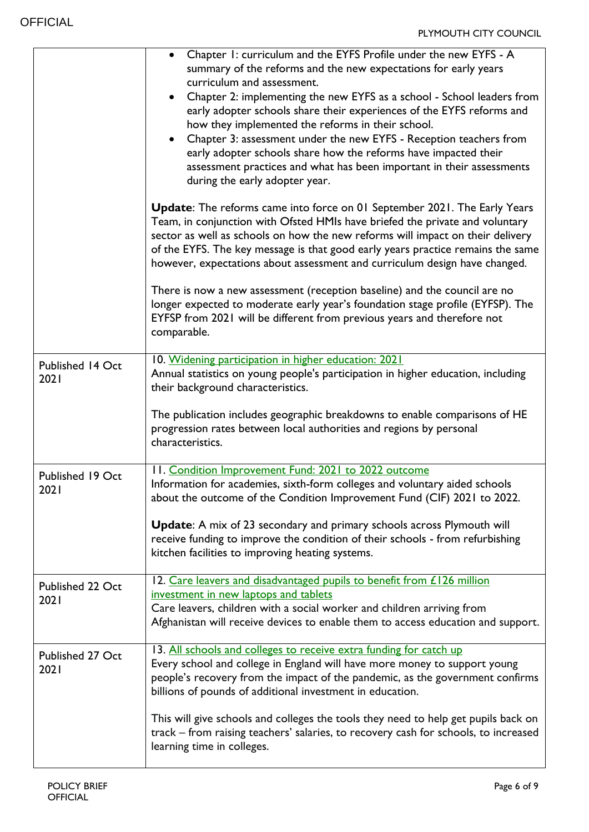|                          | Chapter 1: curriculum and the EYFS Profile under the new EYFS - A<br>summary of the reforms and the new expectations for early years<br>curriculum and assessment.<br>Chapter 2: implementing the new EYFS as a school - School leaders from<br>early adopter schools share their experiences of the EYFS reforms and<br>how they implemented the reforms in their school.<br>Chapter 3: assessment under the new EYFS - Reception teachers from<br>early adopter schools share how the reforms have impacted their<br>assessment practices and what has been important in their assessments<br>during the early adopter year. |
|--------------------------|--------------------------------------------------------------------------------------------------------------------------------------------------------------------------------------------------------------------------------------------------------------------------------------------------------------------------------------------------------------------------------------------------------------------------------------------------------------------------------------------------------------------------------------------------------------------------------------------------------------------------------|
|                          | <b>Update:</b> The reforms came into force on 01 September 2021. The Early Years<br>Team, in conjunction with Ofsted HMIs have briefed the private and voluntary<br>sector as well as schools on how the new reforms will impact on their delivery<br>of the EYFS. The key message is that good early years practice remains the same<br>however, expectations about assessment and curriculum design have changed.                                                                                                                                                                                                            |
|                          | There is now a new assessment (reception baseline) and the council are no<br>longer expected to moderate early year's foundation stage profile (EYFSP). The<br>EYFSP from 2021 will be different from previous years and therefore not<br>comparable.                                                                                                                                                                                                                                                                                                                                                                          |
| Published 14 Oct<br>2021 | 10. Widening participation in higher education: 2021<br>Annual statistics on young people's participation in higher education, including<br>their background characteristics.                                                                                                                                                                                                                                                                                                                                                                                                                                                  |
|                          | The publication includes geographic breakdowns to enable comparisons of HE<br>progression rates between local authorities and regions by personal<br>characteristics.                                                                                                                                                                                                                                                                                                                                                                                                                                                          |
| Published 19 Oct<br>2021 | 11. Condition Improvement Fund: 2021 to 2022 outcome<br>Information for academies, sixth-form colleges and voluntary aided schools<br>about the outcome of the Condition Improvement Fund (CIF) 2021 to 2022.                                                                                                                                                                                                                                                                                                                                                                                                                  |
|                          | <b>Update:</b> A mix of 23 secondary and primary schools across Plymouth will<br>receive funding to improve the condition of their schools - from refurbishing<br>kitchen facilities to improving heating systems.                                                                                                                                                                                                                                                                                                                                                                                                             |
| Published 22 Oct<br>2021 | 12. Care leavers and disadvantaged pupils to benefit from £126 million<br>investment in new laptops and tablets<br>Care leavers, children with a social worker and children arriving from<br>Afghanistan will receive devices to enable them to access education and support.                                                                                                                                                                                                                                                                                                                                                  |
| Published 27 Oct<br>2021 | 13. All schools and colleges to receive extra funding for catch up<br>Every school and college in England will have more money to support young<br>people's recovery from the impact of the pandemic, as the government confirms<br>billions of pounds of additional investment in education.                                                                                                                                                                                                                                                                                                                                  |
|                          | This will give schools and colleges the tools they need to help get pupils back on<br>track – from raising teachers' salaries, to recovery cash for schools, to increased<br>learning time in colleges.                                                                                                                                                                                                                                                                                                                                                                                                                        |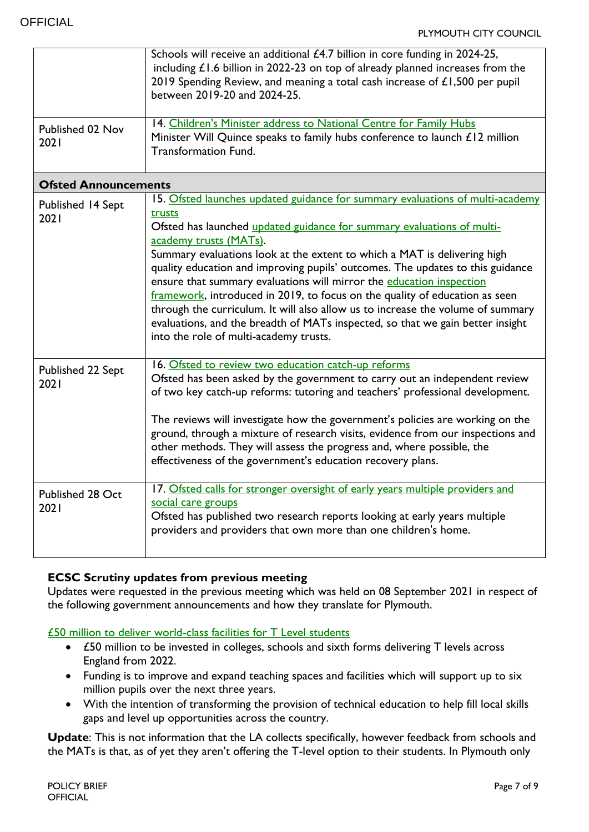|                           | Schools will receive an additional £4.7 billion in core funding in 2024-25,<br>including $£1.6$ billion in 2022-23 on top of already planned increases from the<br>2019 Spending Review, and meaning a total cash increase of £1,500 per pupil<br>between 2019-20 and 2024-25.                                                                                                                                                                                                                                                                                                                                                                                                                                                  |  |  |
|---------------------------|---------------------------------------------------------------------------------------------------------------------------------------------------------------------------------------------------------------------------------------------------------------------------------------------------------------------------------------------------------------------------------------------------------------------------------------------------------------------------------------------------------------------------------------------------------------------------------------------------------------------------------------------------------------------------------------------------------------------------------|--|--|
| Published 02 Nov<br>2021  | 14. Children's Minister address to National Centre for Family Hubs<br>Minister Will Quince speaks to family hubs conference to launch £12 million<br><b>Transformation Fund.</b>                                                                                                                                                                                                                                                                                                                                                                                                                                                                                                                                                |  |  |
|                           | <b>Ofsted Announcements</b>                                                                                                                                                                                                                                                                                                                                                                                                                                                                                                                                                                                                                                                                                                     |  |  |
| Published 14 Sept<br>2021 | 15. Ofsted launches updated guidance for summary evaluations of multi-academy<br>trusts<br>Ofsted has launched updated guidance for summary evaluations of multi-<br>academy trusts (MATs).<br>Summary evaluations look at the extent to which a MAT is delivering high<br>quality education and improving pupils' outcomes. The updates to this guidance<br>ensure that summary evaluations will mirror the education inspection<br>framework, introduced in 2019, to focus on the quality of education as seen<br>through the curriculum. It will also allow us to increase the volume of summary<br>evaluations, and the breadth of MATs inspected, so that we gain better insight<br>into the role of multi-academy trusts. |  |  |
| Published 22 Sept<br>2021 | 16. Ofsted to review two education catch-up reforms<br>Ofsted has been asked by the government to carry out an independent review<br>of two key catch-up reforms: tutoring and teachers' professional development.<br>The reviews will investigate how the government's policies are working on the<br>ground, through a mixture of research visits, evidence from our inspections and<br>other methods. They will assess the progress and, where possible, the<br>effectiveness of the government's education recovery plans.                                                                                                                                                                                                  |  |  |
| Published 28 Oct<br>2021  | 17. Ofsted calls for stronger oversight of early years multiple providers and<br>social care groups<br>Ofsted has published two research reports looking at early years multiple<br>providers and providers that own more than one children's home.                                                                                                                                                                                                                                                                                                                                                                                                                                                                             |  |  |

## **ECSC Scrutiny updates from previous meeting**

Updates were requested in the previous meeting which was held on 08 September 2021 in respect of the following government announcements and how they translate for Plymouth.

[£50 million to deliver world-class facilities for T Level students](https://eur02.safelinks.protection.outlook.com/?url=https%3A%2F%2Fwww.gov.uk%2Fgovernment%2Fnews%2F50-million-to-deliver-world-class-facilities-for-t-level-students%3Futm_medium%3Demail%26utm_campaign%3Dgovuk-notifications%26utm_source%3Dac061daf-273e-492b-9c46-a5c561fb0b0a%26utm_content%3Dimmediately&data=04%7C01%7CCaroline.Marr%40plymouth.gov.uk%7Ca9dae7d691734df55dcb08d9924094cf%7Ca9a3c3d1fc0f4943bc2ad73e388cc2df%7C0%7C0%7C637701628328010122%7CUnknown%7CTWFpbGZsb3d8eyJWIjoiMC4wLjAwMDAiLCJQIjoiV2luMzIiLCJBTiI6Ik1haWwiLCJXVCI6Mn0%3D%7C1000&sdata=%2Fo%2BjOQZFIwFo6CvYd%2FKun74b8QylKIleToujp5laafY%3D&reserved=0)

- £50 million to be invested in colleges, schools and sixth forms delivering T levels across England from 2022.
- Funding is to improve and expand teaching spaces and facilities which will support up to six million pupils over the next three years.
- With the intention of transforming the provision of technical education to help fill local skills gaps and level up opportunities across the country.

**Update**: This is not information that the LA collects specifically, however feedback from schools and the MATs is that, as of yet they aren't offering the T-level option to their students. In Plymouth only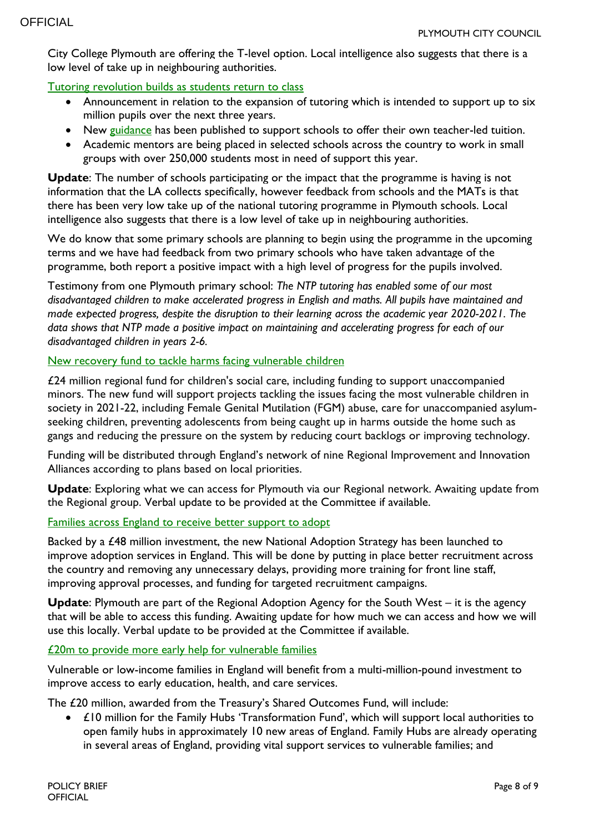City College Plymouth are offering the T-level option. Local intelligence also suggests that there is a low level of take up in neighbouring authorities.

### [Tutoring revolution builds as students return to class](https://eur02.safelinks.protection.outlook.com/?url=https%3A%2F%2Fwww.gov.uk%2Fgovernment%2Fnews%2Ftutoring-revolution-builds-as-students-return-to-class&data=04%7C01%7CCaroline.Marr%40plymouth.gov.uk%7Ca9dae7d691734df55dcb08d9924094cf%7Ca9a3c3d1fc0f4943bc2ad73e388cc2df%7C0%7C0%7C637701628328015114%7CUnknown%7CTWFpbGZsb3d8eyJWIjoiMC4wLjAwMDAiLCJQIjoiV2luMzIiLCJBTiI6Ik1haWwiLCJXVCI6Mn0%3D%7C1000&sdata=abt%2F5CsKryZWLAHHpDWE9vfGo6K9umE2cw4GjmiOWBA%3D&reserved=0)

- Announcement in relation to the expansion of tutoring which is intended to support up to six million pupils over the next three years.
- New [guidance](https://eur02.safelinks.protection.outlook.com/?url=https%3A%2F%2Fassets.publishing.service.gov.uk%2Fgovernment%2Fuploads%2Fsystem%2Fuploads%2Fattachment_data%2Ffile%2F1014466%2FSchool-led_tutoring_guidance.pdf&data=04%7C01%7CCaroline.Marr%40plymouth.gov.uk%7Ca9dae7d691734df55dcb08d9924094cf%7Ca9a3c3d1fc0f4943bc2ad73e388cc2df%7C0%7C0%7C637701628328020100%7CUnknown%7CTWFpbGZsb3d8eyJWIjoiMC4wLjAwMDAiLCJQIjoiV2luMzIiLCJBTiI6Ik1haWwiLCJXVCI6Mn0%3D%7C1000&sdata=wzIVJTdMCMDPo%2BFdWknmcCFOfhhAw%2Fdv42ieaLb6WQc%3D&reserved=0) has been published to support schools to offer their own teacher-led tuition.
- Academic mentors are being placed in selected schools across the country to work in small groups with over 250,000 students most in need of support this year.

**Update**: The number of schools participating or the impact that the programme is having is not information that the LA collects specifically, however feedback from schools and the MATs is that there has been very low take up of the national tutoring programme in Plymouth schools. Local intelligence also suggests that there is a low level of take up in neighbouring authorities.

We do know that some primary schools are planning to begin using the programme in the upcoming terms and we have had feedback from two primary schools who have taken advantage of the programme, both report a positive impact with a high level of progress for the pupils involved.

Testimony from one Plymouth primary school: *The NTP tutoring has enabled some of our most disadvantaged children to make accelerated progress in English and maths. All pupils have maintained and made expected progress, despite the disruption to their learning across the academic year 2020-2021. The data shows that NTP made a positive impact on maintaining and accelerating progress for each of our disadvantaged children in years 2-6.* 

#### New recovery [fund to tackle harms facing vulnerable children](https://eur02.safelinks.protection.outlook.com/?url=https%3A%2F%2Fwww.gov.uk%2Fgovernment%2Fnews%2Fnew-recovery-fund-to-tackle-harms-facing-vulnerable-children&data=04%7C01%7CCaroline.Marr%40plymouth.gov.uk%7Ca9dae7d691734df55dcb08d9924094cf%7Ca9a3c3d1fc0f4943bc2ad73e388cc2df%7C0%7C0%7C637701628328030085%7CUnknown%7CTWFpbGZsb3d8eyJWIjoiMC4wLjAwMDAiLCJQIjoiV2luMzIiLCJBTiI6Ik1haWwiLCJXVCI6Mn0%3D%7C1000&sdata=MMohOJYg0nf%2BihzqwNJqT8vPywW0dzeMUn0xiRSCkAY%3D&reserved=0)

£24 million regional fund for children's social care, including funding to support unaccompanied minors. The new fund will support projects tackling the issues facing the most vulnerable children in society in 2021-22, including Female Genital Mutilation (FGM) abuse, care for unaccompanied asylumseeking children, preventing adolescents from being caught up in harms outside the home such as gangs and reducing the pressure on the system by reducing court backlogs or improving technology.

Funding will be distributed through England's network of nine Regional Improvement and Innovation Alliances according to plans based on local priorities.

**Update**: Exploring what we can access for Plymouth via our Regional network. Awaiting update from the Regional group. Verbal update to be provided at the Committee if available.

#### [Families across England to receive](https://eur02.safelinks.protection.outlook.com/?url=https%3A%2F%2Fwww.gov.uk%2Fgovernment%2Fnews%2Ffamilies-across-england-to-receive-better-support-to-adopt%3Futm_medium%3Demail%26utm_campaign%3Dgovuk-notifications%26utm_source%3Db880e4b3-8f92-48b0-af08-fadabc971e8c%26utm_content%3Dimmediately&data=04%7C01%7CCaroline.Marr%40plymouth.gov.uk%7Ca9dae7d691734df55dcb08d9924094cf%7Ca9a3c3d1fc0f4943bc2ad73e388cc2df%7C0%7C0%7C637701628328035079%7CUnknown%7CTWFpbGZsb3d8eyJWIjoiMC4wLjAwMDAiLCJQIjoiV2luMzIiLCJBTiI6Ik1haWwiLCJXVCI6Mn0%3D%7C1000&sdata=FIG1jQ9l%2FYs6Tgw24PBcWuIAUEP8o%2Fq7v5eZQNz10ks%3D&reserved=0) better support to adopt

Backed by a £48 million investment, the new National Adoption Strategy has been launched to improve adoption services in England. This will be done by putting in place better recruitment across the country and removing any unnecessary delays, providing more training for front line staff, improving approval processes, and funding for targeted recruitment campaigns.

**Update**: Plymouth are part of the Regional Adoption Agency for the South West – it is the agency that will be able to access this funding. Awaiting update for how much we can access and how we will use this locally. Verbal update to be provided at the Committee if available.

#### [£20m to provide more early help for vulnerable families](https://eur02.safelinks.protection.outlook.com/?url=https%3A%2F%2Fwww.gov.uk%2Fgovernment%2Fnews%2F20m-to-provide-more-early-help-for-vulnerable-families%3Futm_medium%3Demail%26utm_campaign%3Dgovuk-notifications%26utm_source%3D1baf0cea-22fa-4b6e-8651-130bc260d5ac%26utm_content%3Dimmediately&data=04%7C01%7CCaroline.Marr%40plymouth.gov.uk%7Ca9dae7d691734df55dcb08d9924094cf%7Ca9a3c3d1fc0f4943bc2ad73e388cc2df%7C0%7C0%7C637701628328040068%7CUnknown%7CTWFpbGZsb3d8eyJWIjoiMC4wLjAwMDAiLCJQIjoiV2luMzIiLCJBTiI6Ik1haWwiLCJXVCI6Mn0%3D%7C1000&sdata=3x6jWSML9KEJbk0Lm4VQKjncbK3GrHRGHUnlMp27Wt4%3D&reserved=0)

Vulnerable or low-income families in England will benefit from a multi-million-pound investment to improve access to early education, health, and care services.

The £20 million, awarded from the Treasury's Shared Outcomes Fund, will include:

 £10 million for the Family Hubs 'Transformation Fund', which will support local authorities to open family hubs in approximately 10 new areas of England. Family Hubs are already operating in several areas of England, providing vital support services to vulnerable families; and